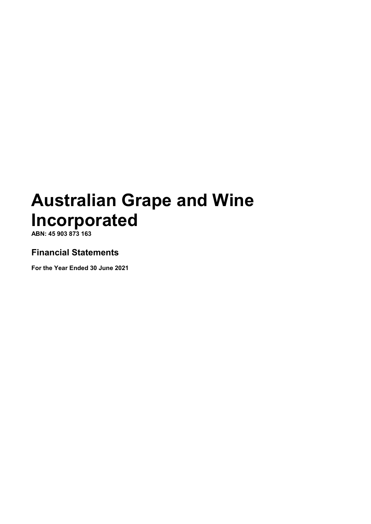**ABN: 45 903 873 163**

## **Financial Statements**

**For the Year Ended 30 June 2021**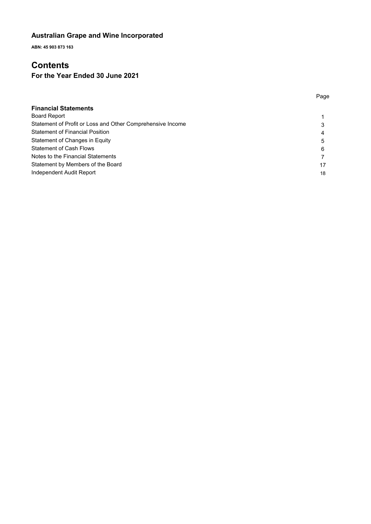**ABN: 45 903 873 163**

## **Contents**

## **For the Year Ended 30 June 2021**

| <b>Financial Statements</b><br>Board Report<br>Statement of Profit or Loss and Other Comprehensive Income<br>Statement of Financial Position<br>4 |
|---------------------------------------------------------------------------------------------------------------------------------------------------|
|                                                                                                                                                   |
|                                                                                                                                                   |
|                                                                                                                                                   |
|                                                                                                                                                   |
| Statement of Changes in Equity<br>5                                                                                                               |
| Statement of Cash Flows<br>6                                                                                                                      |
| Notes to the Financial Statements                                                                                                                 |
| Statement by Members of the Board<br>17                                                                                                           |
| Independent Audit Report<br>18                                                                                                                    |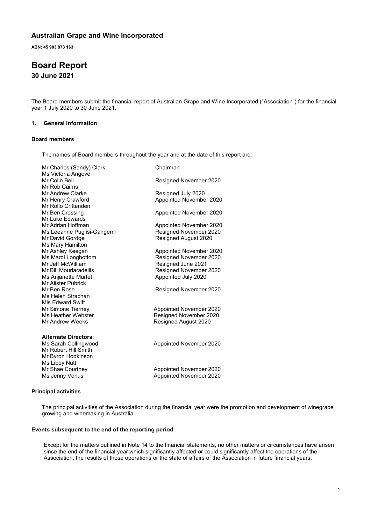**ABN: 45 903 873 163**

## **Board Report**

**30 June 2021**

The Board members submit the financial report of Australian Grape and Wine Incorporated ("Association") for the financial year 1 July 2020 to 30 June 2021.

### **1. General information**

### **Board members**

The names of Board members throughout the year and at the date of this report are:

| Mr Charles (Sandy) Clark    | Chairman                |
|-----------------------------|-------------------------|
| Ms Victoria Angove          |                         |
| Mr Colin Bell               | Resigned November 2020  |
| Mr Rob Cairns               |                         |
| Mr Andrew Clarke            | Resigned July 2020      |
| Mr Henry Crawford           | Appointed November 2020 |
| Mr Rollo Crittenden         |                         |
| Mr Ben Crossing             | Appointed November 2020 |
| Mr Luke Edwards             |                         |
| Mr Adrian Hoffman           | Appointed November 2020 |
| Ms Leeanne Puglisi-Gangemi  | Resigned November 2020  |
| Mr David Gordge             | Resigned August 2020    |
| Ms Mary Hamilton            |                         |
| Mr Ashley Keegan            | Appointed November 2020 |
| Ms Mardi Longbottom         | Resigned November 2020  |
| Mr Jeff McWilliam           | Resigned June 2021      |
| Mr Bill Mourlaradellis      | Resigned November 2020  |
| Ms Anjanette Murfet         | Appointed July 2020     |
| <b>Mr Alister Pubrick</b>   |                         |
| Mr Ben Rose                 | Resigned November 2020  |
| Ms Helen Strachan           |                         |
| Mis Edward Swift            |                         |
| Mr Simone Tierney           | Appointed November 2020 |
| Ms Heather Webster          | Resigned November 2020  |
| Mr Andrew Weeks             | Resigned August 2020    |
|                             |                         |
| <b>Alternate Directors:</b> |                         |
| Ms Sarah Collingwood        | Appointed November 2020 |
| Mr Robert Hill Smith        |                         |
| Mr Byron Hodkinson          |                         |
| Ms Libby Nutt               |                         |
| Mr Shae Courtney            | Appointed November 2020 |
| Ms Jenny Venus              | Appointed November 2020 |
|                             |                         |
|                             |                         |

## **Principal activities**

The principal activities of the Association during the financial year were the promotion and development of winegrape growing and winemaking in Australia.

#### **Events subsequent to the end of the reporting period**

Except for the matters outlined in Note 14 to the financial statements, no other matters or circumstances have arisen since the end of the financial year which significantly affected or could significantly affect the operations of the Association, the results of those operations or the state of affairs of the Association in future financial years.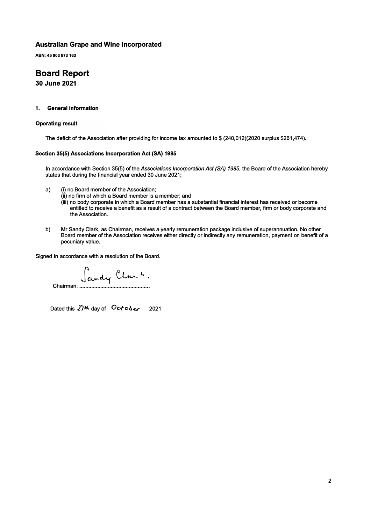**ABN: 45 903 873163** 

## **Board Report**

**30 June 2021** 

#### **1. General information**

#### **Operating result**

The deficit of the Association after providing for income tax amounted to \$ (240,012)(2020 surplus \$261,474).

#### **Section 35(5) Associations Incorporation Act (SA) 1985**

In accordance with Section 35(5) of the *Associations Incorporation Act (SA) 1985,* the Board of the Association hereby states that during the financial year ended 30 June 2021;

- a) (i) no Board member of the Association;
	- (ii) no firm of which a Board member is a member; and
	- (iii) no body corporate in which a Board member has a substantial financial interest has received or become entitled to receive a benefit as a result of a contract between the Board member, firm or body corporate and the Association.
- b) Mr Sandy Clark, as Chairman, receives a yearly remuneration package inclusive of superannuation. No other Board member of the Association receives either directly or indirectly any remuneration, payment on benefit of a pecuniary value.

Signed in accordance with a resolution of the Board.

*I�� �4.* Chairman: ......

Dated this 27<sup>*H*</sup> day of October 2021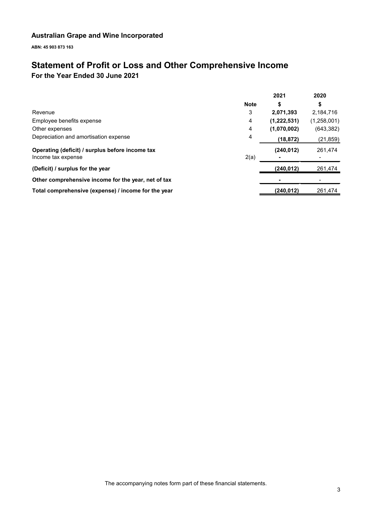**ABN: 45 903 873 163**

## **Statement of Profit or Loss and Other Comprehensive Income For the Year Ended 30 June 2021**

|                                                     |             | 2021        | 2020        |
|-----------------------------------------------------|-------------|-------------|-------------|
|                                                     | <b>Note</b> | \$          | \$          |
| Revenue                                             | 3           | 2,071,393   | 2,184,716   |
| Employee benefits expense                           | 4           | (1,222,531) | (1,258,001) |
| Other expenses                                      | 4           | (1,070,002) | (643, 382)  |
| Depreciation and amortisation expense               | 4           | (18, 872)   | (21, 859)   |
| Operating (deficit) / surplus before income tax     |             | (240, 012)  | 261,474     |
| Income tax expense                                  | 2(a)        |             |             |
| (Deficit) / surplus for the year                    |             | (240,012)   | 261,474     |
| Other comprehensive income for the year, net of tax |             |             |             |
| Total comprehensive (expense) / income for the year |             | (240,012)   | 261,474     |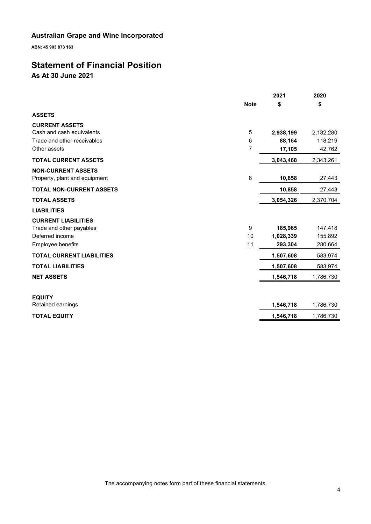**ABN: 45 903 873 163**

## **Statement of Financial Position**

**As At 30 June 2021**

|                                  |             | 2021      | 2020      |
|----------------------------------|-------------|-----------|-----------|
|                                  | <b>Note</b> | \$        | \$        |
| <b>ASSETS</b>                    |             |           |           |
| <b>CURRENT ASSETS</b>            |             |           |           |
| Cash and cash equivalents        | 5           | 2,938,199 | 2,182,280 |
| Trade and other receivables      | 6           | 88,164    | 118,219   |
| Other assets                     | 7           | 17,105    | 42,762    |
| <b>TOTAL CURRENT ASSETS</b>      |             | 3,043,468 | 2,343,261 |
| <b>NON-CURRENT ASSETS</b>        |             |           |           |
| Property, plant and equipment    | 8           | 10,858    | 27,443    |
| <b>TOTAL NON-CURRENT ASSETS</b>  |             | 10,858    | 27,443    |
| <b>TOTAL ASSETS</b>              |             | 3,054,326 | 2,370,704 |
| <b>LIABILITIES</b>               |             |           |           |
| <b>CURRENT LIABILITIES</b>       |             |           |           |
| Trade and other payables         | 9           | 185,965   | 147,418   |
| Deferred income                  | 10          | 1,028,339 | 155,892   |
| Employee benefits                | 11          | 293,304   | 280,664   |
| <b>TOTAL CURRENT LIABILITIES</b> |             | 1,507,608 | 583,974   |
| <b>TOTAL LIABILITIES</b>         |             | 1,507,608 | 583,974   |
| <b>NET ASSETS</b>                |             | 1,546,718 | 1,786,730 |
|                                  |             |           |           |
| <b>EQUITY</b>                    |             |           |           |
| Retained earnings                |             | 1,546,718 | 1,786,730 |
| <b>TOTAL EQUITY</b>              |             | 1,546,718 | 1,786,730 |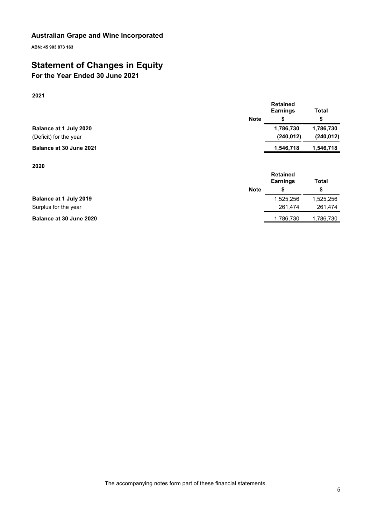**ABN: 45 903 873 163**

## **Statement of Changes in Equity**

## **For the Year Ended 30 June 2021**

**2021**

|                         |             | <b>Retained</b><br><b>Earnings</b> | Total      |
|-------------------------|-------------|------------------------------------|------------|
|                         | <b>Note</b> |                                    | S          |
| Balance at 1 July 2020  |             | 1,786,730                          | 1,786,730  |
| (Deficit) for the year  |             | (240, 012)                         | (240, 012) |
| Balance at 30 June 2021 |             | 1,546,718                          | 1,546,718  |

**2020**

|                         |             | <b>Retained</b><br><b>Earnings</b> | Total     |
|-------------------------|-------------|------------------------------------|-----------|
|                         | <b>Note</b> |                                    | \$        |
| Balance at 1 July 2019  |             | 1,525,256                          | 1,525,256 |
| Surplus for the year    |             | 261.474                            | 261,474   |
| Balance at 30 June 2020 |             | 1,786,730                          | 1,786,730 |
|                         |             |                                    |           |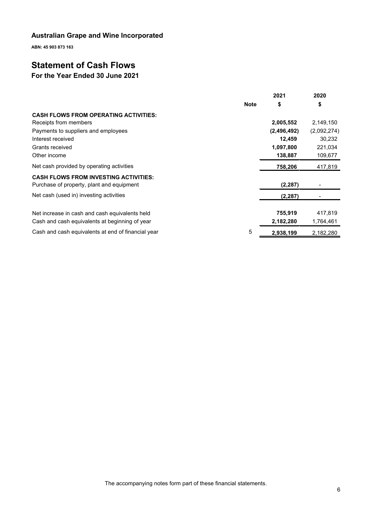**ABN: 45 903 873 163**

## **Statement of Cash Flows**

## **For the Year Ended 30 June 2021**

|                                                    |             | 2021        | 2020        |
|----------------------------------------------------|-------------|-------------|-------------|
|                                                    | <b>Note</b> | \$          | \$          |
| <b>CASH FLOWS FROM OPERATING ACTIVITIES:</b>       |             |             |             |
| Receipts from members                              |             | 2,005,552   | 2,149,150   |
| Payments to suppliers and employees                |             | (2,496,492) | (2,092,274) |
| Interest received                                  |             | 12,459      | 30,232      |
| Grants received                                    |             | 1,097,800   | 221,034     |
| Other income                                       |             | 138,887     | 109,677     |
| Net cash provided by operating activities          |             | 758,206     | 417,819     |
| <b>CASH FLOWS FROM INVESTING ACTIVITIES:</b>       |             |             |             |
| Purchase of property, plant and equipment          |             | (2, 287)    |             |
| Net cash (used in) investing activities            |             | (2, 287)    |             |
|                                                    |             |             |             |
| Net increase in cash and cash equivalents held     |             | 755,919     | 417,819     |
| Cash and cash equivalents at beginning of year     |             | 2,182,280   | 1,764,461   |
| Cash and cash equivalents at end of financial year | 5           | 2,938,199   | 2,182,280   |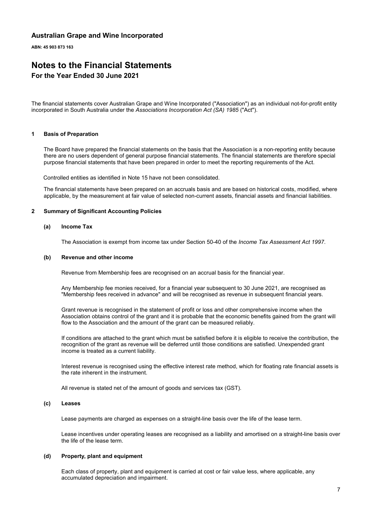**ABN: 45 903 873 163**

## **Notes to the Financial Statements**

## **For the Year Ended 30 June 2021**

The financial statements cover Australian Grape and Wine Incorporated ("Association") as an individual not-for-profit entity incorporated in South Australia under the *Associations Incorporation Act (SA) 1985* ("Act").

#### **1 Basis of Preparation**

The Board have prepared the financial statements on the basis that the Association is a non-reporting entity because there are no users dependent of general purpose financial statements. The financial statements are therefore special purpose financial statements that have been prepared in order to meet the reporting requirements of the Act.

Controlled entities as identified in Note 15 have not been consolidated.

The financial statements have been prepared on an accruals basis and are based on historical costs, modified, where applicable, by the measurement at fair value of selected non-current assets, financial assets and financial liabilities.

#### **2 Summary of Significant Accounting Policies**

#### **(a) Income Tax**

The Association is exempt from income tax under Section 50-40 of the *Income Tax Assessment Act 1997*.

#### **(b) Revenue and other income**

Revenue from Membership fees are recognised on an accrual basis for the financial year.

Any Membership fee monies received, for a financial year subsequent to 30 June 2021, are recognised as "Membership fees received in advance" and will be recognised as revenue in subsequent financial years.

Grant revenue is recognised in the statement of profit or loss and other comprehensive income when the Association obtains control of the grant and it is probable that the economic benefits gained from the grant will flow to the Association and the amount of the grant can be measured reliably.

If conditions are attached to the grant which must be satisfied before it is eligible to receive the contribution, the recognition of the grant as revenue will be deferred until those conditions are satisfied. Unexpended grant income is treated as a current liability.

Interest revenue is recognised using the effective interest rate method, which for floating rate financial assets is the rate inherent in the instrument.

All revenue is stated net of the amount of goods and services tax (GST).

#### **(c) Leases**

Lease payments are charged as expenses on a straight-line basis over the life of the lease term.

Lease incentives under operating leases are recognised as a liability and amortised on a straight-line basis over the life of the lease term.

#### **(d) Property, plant and equipment**

Each class of property, plant and equipment is carried at cost or fair value less, where applicable, any accumulated depreciation and impairment.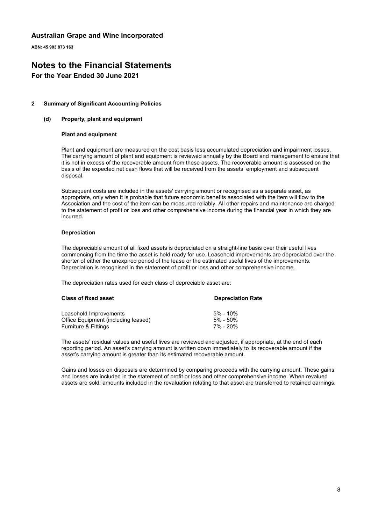**ABN: 45 903 873 163**

## **Notes to the Financial Statements**

## **For the Year Ended 30 June 2021**

### **2 Summary of Significant Accounting Policies**

#### **(d) Property, plant and equipment**

#### **Plant and equipment**

Plant and equipment are measured on the cost basis less accumulated depreciation and impairment losses. The carrying amount of plant and equipment is reviewed annually by the Board and management to ensure that it is not in excess of the recoverable amount from these assets. The recoverable amount is assessed on the basis of the expected net cash flows that will be received from the assets' employment and subsequent disposal.

Subsequent costs are included in the assets' carrying amount or recognised as a separate asset, as appropriate, only when it is probable that future economic benefits associated with the item will flow to the Association and the cost of the item can be measured reliably. All other repairs and maintenance are charged to the statement of profit or loss and other comprehensive income during the financial year in which they are incurred.

#### **Depreciation**

The depreciable amount of all fixed assets is depreciated on a straight-line basis over their useful lives commencing from the time the asset is held ready for use. Leasehold improvements are depreciated over the shorter of either the unexpired period of the lease or the estimated useful lives of the improvements. Depreciation is recognised in the statement of profit or loss and other comprehensive income.

The depreciation rates used for each class of depreciable asset are:

| <b>Class of fixed asset</b>         | <b>Depreciation Rate</b> |
|-------------------------------------|--------------------------|
| Leasehold Improvements              | $5\% - 10\%$             |
| Office Equipment (including leased) | $5\%$ - $50\%$           |
| Furniture & Fittings                | 7% - 20%                 |

The assets' residual values and useful lives are reviewed and adjusted, if appropriate, at the end of each reporting period. An asset's carrying amount is written down immediately to its recoverable amount if the asset's carrying amount is greater than its estimated recoverable amount.

Gains and losses on disposals are determined by comparing proceeds with the carrying amount. These gains and losses are included in the statement of profit or loss and other comprehensive income. When revalued assets are sold, amounts included in the revaluation relating to that asset are transferred to retained earnings.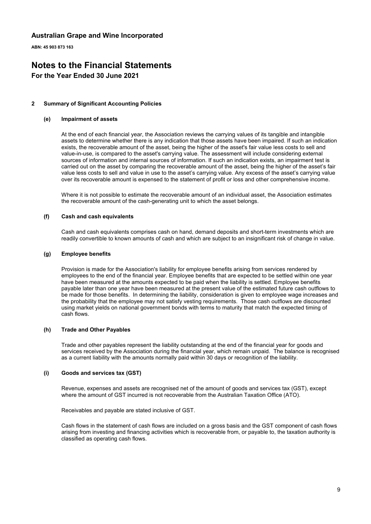**ABN: 45 903 873 163**

## **Notes to the Financial Statements**

## **For the Year Ended 30 June 2021**

### **2 Summary of Significant Accounting Policies**

### **(e) Impairment of assets**

At the end of each financial year, the Association reviews the carrying values of its tangible and intangible assets to determine whether there is any indication that those assets have been impaired. If such an indication exists, the recoverable amount of the asset, being the higher of the asset's fair value less costs to sell and value-in-use, is compared to the asset's carrying value. The assessment will include considering external sources of information and internal sources of information. If such an indication exists, an impairment test is carried out on the asset by comparing the recoverable amount of the asset, being the higher of the asset's fair value less costs to sell and value in use to the asset's carrying value. Any excess of the asset's carrying value over its recoverable amount is expensed to the statement of profit or loss and other comprehensive income.

Where it is not possible to estimate the recoverable amount of an individual asset, the Association estimates the recoverable amount of the cash-generating unit to which the asset belongs.

#### **(f) Cash and cash equivalents**

Cash and cash equivalents comprises cash on hand, demand deposits and short-term investments which are readily convertible to known amounts of cash and which are subject to an insignificant risk of change in value.

#### **(g) Employee benefits**

Provision is made for the Association's liability for employee benefits arising from services rendered by employees to the end of the financial year. Employee benefits that are expected to be settled within one year have been measured at the amounts expected to be paid when the liability is settled. Employee benefits payable later than one year have been measured at the present value of the estimated future cash outflows to be made for those benefits. In determining the liability, consideration is given to employee wage increases and the probability that the employee may not satisfy vesting requirements. Those cash outflows are discounted using market yields on national government bonds with terms to maturity that match the expected timing of cash flows.

#### **(h) Trade and Other Payables**

Trade and other payables represent the liability outstanding at the end of the financial year for goods and services received by the Association during the financial year, which remain unpaid. The balance is recognised as a current liability with the amounts normally paid within 30 days or recognition of the liability.

#### **(i) Goods and services tax (GST)**

Revenue, expenses and assets are recognised net of the amount of goods and services tax (GST), except where the amount of GST incurred is not recoverable from the Australian Taxation Office (ATO).

Receivables and payable are stated inclusive of GST.

Cash flows in the statement of cash flows are included on a gross basis and the GST component of cash flows arising from investing and financing activities which is recoverable from, or payable to, the taxation authority is classified as operating cash flows.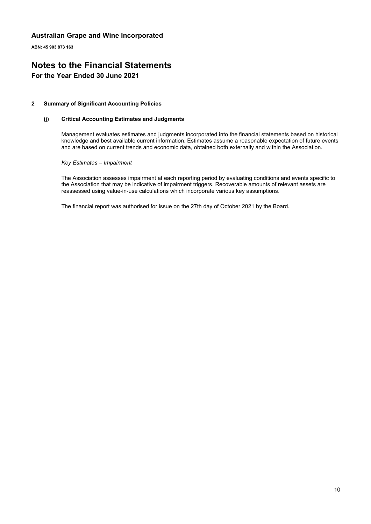**ABN: 45 903 873 163**

## **Notes to the Financial Statements**

## **For the Year Ended 30 June 2021**

### **2 Summary of Significant Accounting Policies**

## **(j) Critical Accounting Estimates and Judgments**

Management evaluates estimates and judgments incorporated into the financial statements based on historical knowledge and best available current information. Estimates assume a reasonable expectation of future events and are based on current trends and economic data, obtained both externally and within the Association.

*Key Estimates – Impairment*

The Association assesses impairment at each reporting period by evaluating conditions and events specific to the Association that may be indicative of impairment triggers. Recoverable amounts of relevant assets are reassessed using value-in-use calculations which incorporate various key assumptions.

The financial report was authorised for issue on the 27th day of October 2021 by the Board.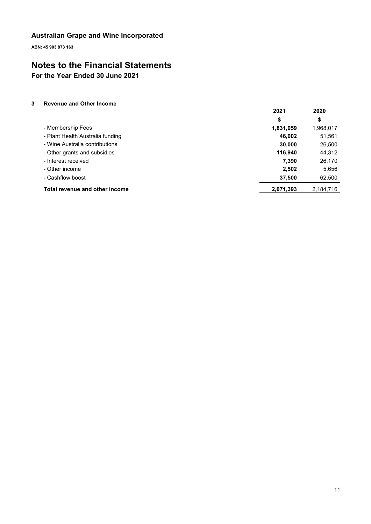**ABN: 45 903 873 163**

## **Notes to the Financial Statements**

## **For the Year Ended 30 June 2021**

## **3 Revenue and Other Income**

|                                  | 2021      | 2020      |
|----------------------------------|-----------|-----------|
|                                  | \$        | \$        |
| - Membership Fees                | 1,831,059 | 1,968,017 |
| - Plant Health Australia funding | 46,002    | 51,561    |
| - Wine Australia contributions   | 30,000    | 26,500    |
| - Other grants and subsidies     | 116,940   | 44,312    |
| - Interest received              | 7,390     | 26,170    |
| - Other income                   | 2,502     | 5,656     |
| - Cashflow boost                 | 37,500    | 62,500    |
| Total revenue and other income   | 2,071,393 | 2,184,716 |
|                                  |           |           |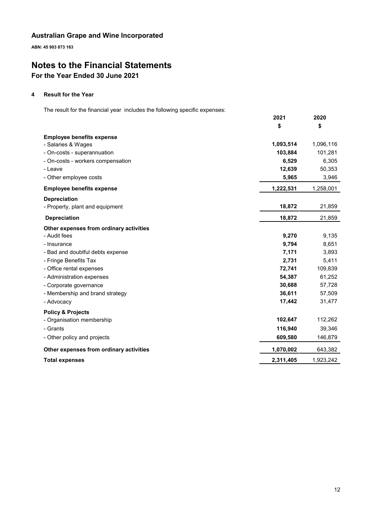**ABN: 45 903 873 163**

## **Notes to the Financial Statements For the Year Ended 30 June 2021**

### **4 Result for the Year**

The result for the financial year includes the following specific expenses:

|                                         | 2021      | 2020      |
|-----------------------------------------|-----------|-----------|
|                                         | \$        | \$        |
| <b>Employee benefits expense</b>        |           |           |
| - Salaries & Wages                      | 1,093,514 | 1,096,116 |
| - On-costs - superannuation             | 103,884   | 101,281   |
| - On-costs - workers compensation       | 6,529     | 6,305     |
| - Leave                                 | 12,639    | 50,353    |
| - Other employee costs                  | 5,965     | 3,946     |
| <b>Employee benefits expense</b>        | 1,222,531 | 1,258,001 |
| <b>Depreciation</b>                     |           |           |
| - Property, plant and equipment         | 18,872    | 21,859    |
| <b>Depreciation</b>                     | 18,872    | 21,859    |
| Other expenses from ordinary activities |           |           |
| - Audit fees                            | 9,270     | 9,135     |
| - Insurance                             | 9,794     | 8,651     |
| - Bad and doubtful debts expense        | 7,171     | 3,893     |
| - Fringe Benefits Tax                   | 2,731     | 5,411     |
| - Office rental expenses                | 72,741    | 109,839   |
| - Administration expenses               | 54,387    | 61,252    |
| - Corporate governance                  | 30,688    | 57,728    |
| - Membership and brand strategy         | 36,611    | 57,509    |
| - Advocacy                              | 17,442    | 31,477    |
| <b>Policy &amp; Projects</b>            |           |           |
| - Organisation membership               | 102,647   | 112,262   |
| - Grants                                | 116,940   | 39,346    |
| - Other policy and projects             | 609,580   | 146,879   |
| Other expenses from ordinary activities | 1,070,002 | 643,382   |
| <b>Total expenses</b>                   | 2,311,405 | 1,923,242 |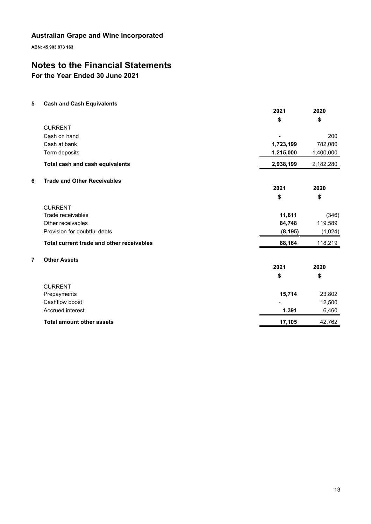**ABN: 45 903 873 163**

## **Notes to the Financial Statements**

**For the Year Ended 30 June 2021**

## **5 Cash and Cash Equivalents**

|                |                                           | 2021<br>\$ | 2020<br>\$ |
|----------------|-------------------------------------------|------------|------------|
| <b>CURRENT</b> |                                           |            |            |
|                | Cash on hand                              |            | 200        |
|                | Cash at bank                              | 1,723,199  | 782,080    |
|                | Term deposits                             | 1,215,000  | 1,400,000  |
|                | Total cash and cash equivalents           | 2,938,199  | 2,182,280  |
| 6              | <b>Trade and Other Receivables</b>        |            |            |
|                |                                           | 2021       | 2020       |
|                |                                           | \$         | \$         |
| <b>CURRENT</b> |                                           |            |            |
|                | Trade receivables                         | 11,611     | (346)      |
|                | Other receivables                         | 84,748     | 119,589    |
|                | Provision for doubtful debts              | (8, 195)   | (1,024)    |
|                | Total current trade and other receivables | 88,164     | 118,219    |
| 7              | <b>Other Assets</b>                       |            |            |
|                |                                           | 2021       | 2020       |
|                |                                           | \$         | \$         |
| <b>CURRENT</b> |                                           |            |            |
|                | Prepayments                               | 15,714     | 23,802     |
|                | Cashflow boost                            |            | 12,500     |
|                | Accrued interest                          | 1,391      | 6,460      |
|                | <b>Total amount other assets</b>          | 17,105     | 42,762     |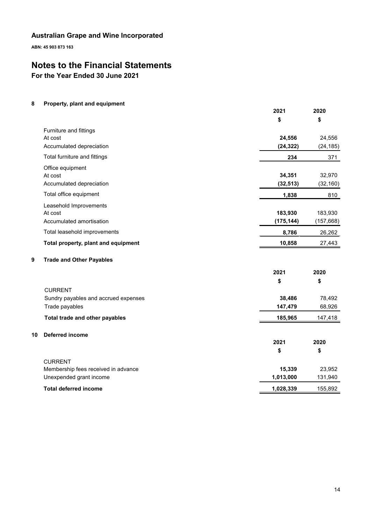**ABN: 45 903 873 163**

## **Notes to the Financial Statements**

**For the Year Ended 30 June 2021**

## **8 Property, plant and equipment**

|    | .                                                             | 2021<br>\$            | 2020<br>\$            |
|----|---------------------------------------------------------------|-----------------------|-----------------------|
|    | Furniture and fittings<br>At cost                             | 24,556                | 24,556                |
|    | Accumulated depreciation                                      | (24, 322)             | (24, 185)             |
|    | Total furniture and fittings                                  | 234                   | 371                   |
|    | Office equipment<br>At cost<br>Accumulated depreciation       | 34,351<br>(32, 513)   | 32,970<br>(32, 160)   |
|    | Total office equipment                                        | 1,838                 | 810                   |
|    | Leasehold Improvements<br>At cost<br>Accumulated amortisation | 183,930<br>(175, 144) | 183,930<br>(157, 668) |
|    | Total leasehold improvements                                  | 8,786                 | 26,262                |
|    | Total property, plant and equipment                           | 10,858                | 27,443                |
| 9  | <b>Trade and Other Payables</b>                               |                       |                       |
|    |                                                               | 2021<br>\$            | 2020<br>\$            |
|    | <b>CURRENT</b>                                                |                       |                       |
|    | Sundry payables and accrued expenses<br>Trade payables        | 38,486<br>147,479     | 78,492<br>68,926      |
|    | Total trade and other payables                                | 185,965               | 147,418               |
| 10 | <b>Deferred income</b>                                        | 2021                  | 2020                  |
|    |                                                               | \$                    | \$                    |
|    | <b>CURRENT</b><br>Membership fees received in advance         | 15,339                | 23,952                |
|    | Unexpended grant income                                       | 1,013,000             | 131,940               |
|    | <b>Total deferred income</b>                                  | 1,028,339             | 155,892               |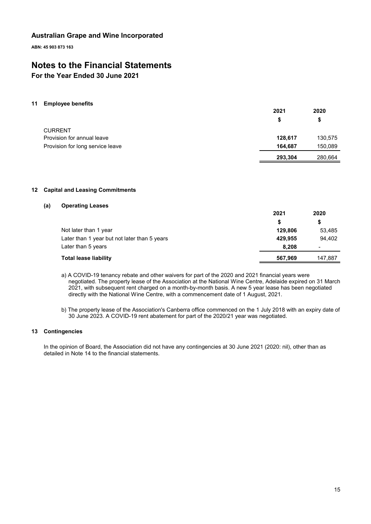**ABN: 45 903 873 163**

## **Notes to the Financial Statements**

## **For the Year Ended 30 June 2021**

### **11 Employee benefits**

|                                  | 2021    | 2020    |
|----------------------------------|---------|---------|
|                                  | S       | \$      |
| <b>CURRENT</b>                   |         |         |
| Provision for annual leave       | 128,617 | 130,575 |
| Provision for long service leave | 164.687 | 150,089 |
|                                  | 293,304 | 280,664 |

#### **12 Capital and Leasing Commitments**

#### **(a) Operating Leases**

|                                              | 2021    | 2020                     |
|----------------------------------------------|---------|--------------------------|
|                                              | S       |                          |
| Not later than 1 year                        | 129,806 | 53,485                   |
| Later than 1 year but not later than 5 years | 429,955 | 94.402                   |
| Later than 5 years                           | 8,208   | $\overline{\phantom{0}}$ |
| <b>Total lease liability</b>                 | 567,969 | 147,887                  |

a) A COVID-19 tenancy rebate and other waivers for part of the 2020 and 2021 financial years were negotiated. The property lease of the Association at the National Wine Centre, Adelaide expired on 31 March 2021, with subsequent rent charged on a month-by-month basis. A new 5 year lease has been negotiated directly with the National Wine Centre, with a commencement date of 1 August, 2021.

b) The property lease of the Association's Canberra office commenced on the 1 July 2018 with an expiry date of 30 June 2023. A COVID-19 rent abatement for part of the 2020/21 year was negotiated.

#### **13 Contingencies**

In the opinion of Board, the Association did not have any contingencies at 30 June 2021 (2020: nil), other than as detailed in Note 14 to the financial statements.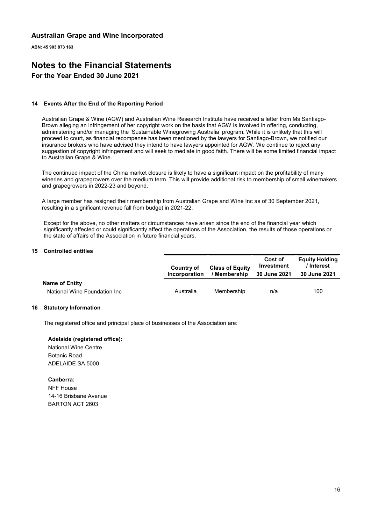**ABN: 45 903 873 163**

## **Notes to the Financial Statements For the Year Ended 30 June 2021**

#### **14 Events After the End of the Reporting Period**

Australian Grape & Wine (AGW) and Australian Wine Research Institute have received a letter from Ms Santiago-Brown alleging an infringement of her copyright work on the basis that AGW is involved in offering, conducting, administering and/or managing the 'Sustainable Winegrowing Australia' program. While it is unlikely that this will proceed to court, as financial recompense has been mentioned by the lawyers for Santiago-Brown, we notified our insurance brokers who have advised they intend to have lawyers appointed for AGW. We continue to reject any suggestion of copyright infringement and will seek to mediate in good faith. There will be some limited financial impact to Australian Grape & Wine.

The continued impact of the China market closure is likely to have a significant impact on the profitability of many wineries and grapegrowers over the medium term. This will provide additional risk to membership of small winemakers and grapegrowers in 2022-23 and beyond.

A large member has resigned their membership from Australian Grape and Wine Inc as of 30 September 2021, resulting in a significant revenue fall from budget in 2021-22.

Except for the above, no other matters or circumstances have arisen since the end of the financial year which significantly affected or could significantly affect the operations of the Association, the results of those operations or the state of affairs of the Association in future financial years.

#### **15 Controlled entities**

|                              | <b>Country of</b><br>Incorporation | <b>Class of Equity</b><br>' Membership | Cost of<br>Investment<br><b>30 June 2021</b> | <b>Equity Holding</b><br>/ Interest<br><b>30 June 2021</b> |
|------------------------------|------------------------------------|----------------------------------------|----------------------------------------------|------------------------------------------------------------|
| <b>Name of Entity</b>        |                                    |                                        |                                              |                                                            |
| National Wine Foundation Inc | Australia                          | Membership                             | n/a                                          | 100                                                        |

#### **16 Statutory Information**

The registered office and principal place of businesses of the Association are:

**Adelaide (registered office):** National Wine Centre Botanic Road ADELAIDE SA 5000

### **Canberra:**

NFF House 14-16 Brisbane Avenue BARTON ACT 2603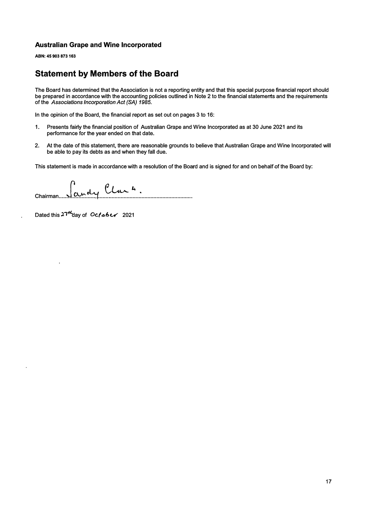**ABN: 45 903 873 163** 

## **Statement by Members of the Board**

**The Board has determined that the Association is not a reporting entity and that this special purpose financial report should be prepared in accordance with the accounting policies outlined in Note 2 to the financial statements and the requirements of the** *Associations Incorporation Act (SA) 1985.*

**In the opinion of the Board, the financial report as set out on pages 3 to 16:** 

- **1. Presents fairly the financial position of Australian Grape and Wine Incorporated as at 30 June 2021 and its performance for the year ended on that date.**
- **2. At the date of this statement, there are reasonable grounds to believe that Australian Grape and Wine Incorporated will be able to pay its debts as and when they fall due.**

**This statement is made in accordance with a resolution of the Board and is signed for and on behalf of the Board by:** 

Chairman <u>Jandy</u> Clue **4**.

Dated this 27<sup>*t*</sup>day of October 2021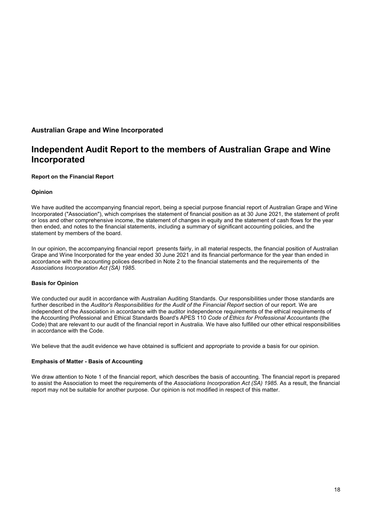## **Independent Audit Report to the members of Australian Grape and Wine Incorporated**

### **Report on the Financial Report**

### **Opinion**

We have audited the accompanying financial report, being a special purpose financial report of Australian Grape and Wine Incorporated ("Association"), which comprises the statement of financial position as at 30 June 2021, the statement of profit or loss and other comprehensive income, the statement of changes in equity and the statement of cash flows for the year then ended, and notes to the financial statements, including a summary of significant accounting policies, and the statement by members of the board.

In our opinion, the accompanying financial report presents fairly, in all material respects, the financial position of Australian Grape and Wine Incorporated for the year ended 30 June 2021 and its financial performance for the year than ended in accordance with the accounting polices described in Note 2 to the financial statements and the requirements of the *Associations Incorporation Act (SA) 1985*.

### **Basis for Opinion**

We conducted our audit in accordance with Australian Auditing Standards. Our responsibilities under those standards are further described in the *Auditor's Responsibilities for the Audit of the Financial Report* section of our report. We are independent of the Association in accordance with the auditor independence requirements of the ethical requirements of the Accounting Professional and Ethical Standards Board's APES 110 *Code of Ethics for Professional Accountants* (the Code) that are relevant to our audit of the financial report in Australia. We have also fulfilled our other ethical responsibilities in accordance with the Code.

We believe that the audit evidence we have obtained is sufficient and appropriate to provide a basis for our opinion.

## **Emphasis of Matter - Basis of Accounting**

We draw attention to Note 1 of the financial report, which describes the basis of accounting. The financial report is prepared to assist the Association to meet the requirements of the *Associations Incorporation Act (SA) 1985.* As a result, the financial report may not be suitable for another purpose. Our opinion is not modified in respect of this matter.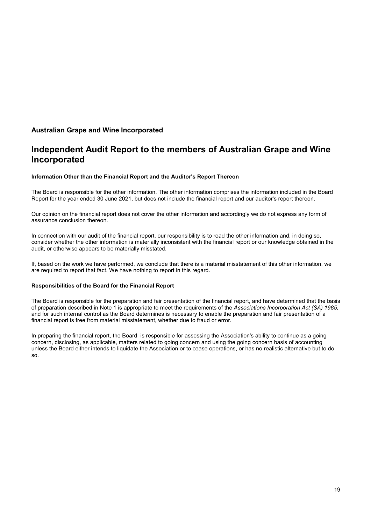## **Independent Audit Report to the members of Australian Grape and Wine Incorporated**

#### **Information Other than the Financial Report and the Auditor's Report Thereon**

The Board is responsible for the other information. The other information comprises the information included in the Board Report for the year ended 30 June 2021, but does not include the financial report and our auditor's report thereon.

Our opinion on the financial report does not cover the other information and accordingly we do not express any form of assurance conclusion thereon.

In connection with our audit of the financial report, our responsibility is to read the other information and, in doing so, consider whether the other information is materially inconsistent with the financial report or our knowledge obtained in the audit, or otherwise appears to be materially misstated.

If, based on the work we have performed, we conclude that there is a material misstatement of this other information, we are required to report that fact. We have nothing to report in this regard.

#### **Responsibilities of the Board for the Financial Report**

The Board is responsible for the preparation and fair presentation of the financial report, and have determined that the basis of preparation described in Note 1 is appropriate to meet the requirements of the *Associations Incorporation Act (SA) 1985*, and for such internal control as the Board determines is necessary to enable the preparation and fair presentation of a financial report is free from material misstatement, whether due to fraud or error.

In preparing the financial report, the Board is responsible for assessing the Association's ability to continue as a going concern, disclosing, as applicable, matters related to going concern and using the going concern basis of accounting unless the Board either intends to liquidate the Association or to cease operations, or has no realistic alternative but to do so.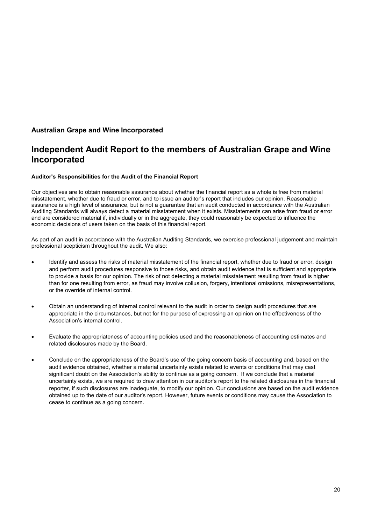## **Independent Audit Report to the members of Australian Grape and Wine Incorporated**

### **Auditor's Responsibilities for the Audit of the Financial Report**

Our objectives are to obtain reasonable assurance about whether the financial report as a whole is free from material misstatement, whether due to fraud or error, and to issue an auditor's report that includes our opinion. Reasonable assurance is a high level of assurance, but is not a guarantee that an audit conducted in accordance with the Australian Auditing Standards will always detect a material misstatement when it exists. Misstatements can arise from fraud or error and are considered material if, individually or in the aggregate, they could reasonably be expected to influence the economic decisions of users taken on the basis of this financial report.

As part of an audit in accordance with the Australian Auditing Standards, we exercise professional judgement and maintain professional scepticism throughout the audit. We also:

- Identify and assess the risks of material misstatement of the financial report, whether due to fraud or error, design and perform audit procedures responsive to those risks, and obtain audit evidence that is sufficient and appropriate to provide a basis for our opinion. The risk of not detecting a material misstatement resulting from fraud is higher than for one resulting from error, as fraud may involve collusion, forgery, intentional omissions, misrepresentations, or the override of internal control.
- Obtain an understanding of internal control relevant to the audit in order to design audit procedures that are appropriate in the circumstances, but not for the purpose of expressing an opinion on the effectiveness of the Association's internal control.
- Evaluate the appropriateness of accounting policies used and the reasonableness of accounting estimates and related disclosures made by the Board.
- Conclude on the appropriateness of the Board's use of the going concern basis of accounting and, based on the audit evidence obtained, whether a material uncertainty exists related to events or conditions that may cast significant doubt on the Association's ability to continue as a going concern. If we conclude that a material uncertainty exists, we are required to draw attention in our auditor's report to the related disclosures in the financial reporter, if such disclosures are inadequate, to modify our opinion. Our conclusions are based on the audit evidence obtained up to the date of our auditor's report. However, future events or conditions may cause the Association to cease to continue as a going concern.